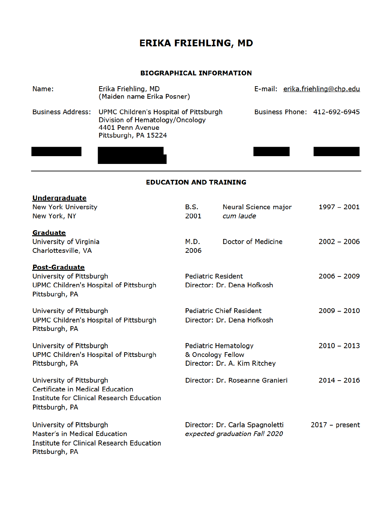# **ERIKA FRIEHLING, MD**

### **BIOGRAPHICAL INFORMATION**

| Name:                    | Erika Friehling, MD<br>(Maiden name Erika Posner)                                                                     | E-mail: erika.friehling@chp.edu |
|--------------------------|-----------------------------------------------------------------------------------------------------------------------|---------------------------------|
| <b>Business Address:</b> | UPMC Children's Hospital of Pittsburgh<br>Division of Hematology/Oncology<br>4401 Penn Avenue<br>Pittsburgh, PA 15224 | Business Phone: 412-692-6945    |
|                          |                                                                                                                       |                                 |

#### **EDUCATION AND TRAINING**

| <b>Undergraduate</b>                                     |                           |                                 |                  |
|----------------------------------------------------------|---------------------------|---------------------------------|------------------|
| <b>New York University</b>                               | <b>B.S.</b>               | Neural Science major            | $1997 - 2001$    |
| New York, NY                                             | 2001                      | cum laude                       |                  |
| Graduate                                                 |                           |                                 |                  |
| University of Virginia                                   | M.D.                      | Doctor of Medicine              | $2002 - 2006$    |
| Charlottesville, VA                                      | 2006                      |                                 |                  |
| <b>Post-Graduate</b>                                     |                           |                                 |                  |
| University of Pittsburgh                                 | <b>Pediatric Resident</b> |                                 | $2006 - 2009$    |
| UPMC Children's Hospital of Pittsburgh<br>Pittsburgh, PA |                           | Director: Dr. Dena Hofkosh      |                  |
| University of Pittsburgh                                 |                           | <b>Pediatric Chief Resident</b> | $2009 - 2010$    |
| UPMC Children's Hospital of Pittsburgh<br>Pittsburgh, PA |                           | Director: Dr. Dena Hofkosh      |                  |
| University of Pittsburgh                                 | Pediatric Hematology      |                                 | $2010 - 2013$    |
| UPMC Children's Hospital of Pittsburgh                   | & Oncology Fellow         |                                 |                  |
| Pittsburgh, PA                                           |                           | Director: Dr. A. Kim Ritchey    |                  |
| University of Pittsburgh                                 |                           | Director: Dr. Roseanne Granieri | $2014 - 2016$    |
| Certificate in Medical Education                         |                           |                                 |                  |
| <b>Institute for Clinical Research Education</b>         |                           |                                 |                  |
| Pittsburgh, PA                                           |                           |                                 |                  |
| University of Pittsburgh                                 |                           | Director: Dr. Carla Spagnoletti | $2017 - present$ |
| Master's in Medical Education                            |                           | expected graduation Fall 2020   |                  |
| Institute for Clinical Research Education                |                           |                                 |                  |
| Pittsburgh, PA                                           |                           |                                 |                  |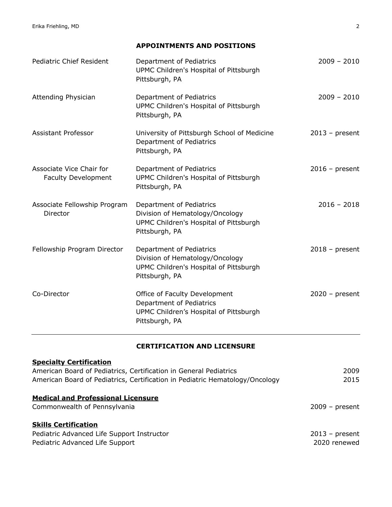Erika Friehling, MD 2

**APPOINTMENTS AND POSITIONS**

| <b>Pediatric Chief Resident</b>                        | Department of Pediatrics<br>UPMC Children's Hospital of Pittsburgh<br>Pittsburgh, PA                                    | $2009 - 2010$    |
|--------------------------------------------------------|-------------------------------------------------------------------------------------------------------------------------|------------------|
| Attending Physician                                    | Department of Pediatrics<br>UPMC Children's Hospital of Pittsburgh<br>Pittsburgh, PA                                    | $2009 - 2010$    |
| Assistant Professor                                    | University of Pittsburgh School of Medicine<br>Department of Pediatrics<br>Pittsburgh, PA                               | $2013$ – present |
| Associate Vice Chair for<br><b>Faculty Development</b> | Department of Pediatrics<br>UPMC Children's Hospital of Pittsburgh<br>Pittsburgh, PA                                    | $2016$ – present |
| Associate Fellowship Program<br>Director               | Department of Pediatrics<br>Division of Hematology/Oncology<br>UPMC Children's Hospital of Pittsburgh<br>Pittsburgh, PA | $2016 - 2018$    |
| Fellowship Program Director                            | Department of Pediatrics<br>Division of Hematology/Oncology<br>UPMC Children's Hospital of Pittsburgh<br>Pittsburgh, PA | $2018$ – present |
| Co-Director                                            | Office of Faculty Development<br>Department of Pediatrics<br>UPMC Children's Hospital of Pittsburgh<br>Pittsburgh, PA   | $2020 - present$ |

### **CERTIFICATION AND LICENSURE**

| <b>Specialty Certification</b>                                               |                  |
|------------------------------------------------------------------------------|------------------|
| American Board of Pediatrics, Certification in General Pediatrics            | 2009             |
| American Board of Pediatrics, Certification in Pediatric Hematology/Oncology | 2015             |
| <b>Medical and Professional Licensure</b>                                    |                  |
| Commonwealth of Pennsylvania                                                 | $2009 - present$ |
| <b>Skills Certification</b>                                                  |                  |
| Pediatric Advanced Life Support Instructor                                   | $2013$ – present |
| Pediatric Advanced Life Support                                              | 2020 renewed     |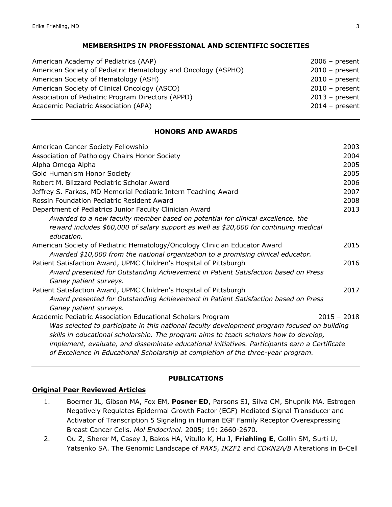#### **MEMBERSHIPS IN PROFESSIONAL AND SCIENTIFIC SOCIETIES**

| American Academy of Pediatrics (AAP)                          | $2006 - present$ |
|---------------------------------------------------------------|------------------|
| American Society of Pediatric Hematology and Oncology (ASPHO) | $2010$ – present |
| American Society of Hematology (ASH)                          | $2010$ – present |
| American Society of Clinical Oncology (ASCO)                  | $2010 - present$ |
| Association of Pediatric Program Directors (APPD)             | $2013$ – present |
| Academic Pediatric Association (APA)                          | $2014$ – present |

#### **HONORS AND AWARDS**

| American Cancer Society Fellowship                                                            | 2003          |
|-----------------------------------------------------------------------------------------------|---------------|
| Association of Pathology Chairs Honor Society                                                 | 2004          |
| Alpha Omega Alpha                                                                             | 2005          |
| Gold Humanism Honor Society                                                                   | 2005          |
| Robert M. Blizzard Pediatric Scholar Award                                                    | 2006          |
| Jeffrey S. Farkas, MD Memorial Pediatric Intern Teaching Award                                | 2007          |
| Rossin Foundation Pediatric Resident Award                                                    | 2008          |
| Department of Pediatrics Junior Faculty Clinician Award                                       | 2013          |
| Awarded to a new faculty member based on potential for clinical excellence, the               |               |
| reward includes \$60,000 of salary support as well as \$20,000 for continuing medical         |               |
| education.                                                                                    |               |
| American Society of Pediatric Hematology/Oncology Clinician Educator Award                    | 2015          |
| Awarded \$10,000 from the national organization to a promising clinical educator.             |               |
| Patient Satisfaction Award, UPMC Children's Hospital of Pittsburgh                            | 2016          |
| Award presented for Outstanding Achievement in Patient Satisfaction based on Press            |               |
| Ganey patient surveys.                                                                        |               |
| Patient Satisfaction Award, UPMC Children's Hospital of Pittsburgh                            | 2017          |
| Award presented for Outstanding Achievement in Patient Satisfaction based on Press            |               |
| Ganey patient surveys.                                                                        |               |
| Academic Pediatric Association Educational Scholars Program                                   | $2015 - 2018$ |
| Was selected to participate in this national faculty development program focused on building  |               |
| skills in educational scholarship. The program aims to teach scholars how to develop,         |               |
| implement, evaluate, and disseminate educational initiatives. Participants earn a Certificate |               |
| of Excellence in Educational Scholarship at completion of the three-year program.             |               |

#### **PUBLICATIONS**

### **Original Peer Reviewed Articles**

- 1. Boerner JL, Gibson MA, Fox EM, **Posner ED**, Parsons SJ, Silva CM, Shupnik MA. Estrogen Negatively Regulates Epidermal Growth Factor (EGF)-Mediated Signal Transducer and Activator of Transcription 5 Signaling in Human EGF Family Receptor Overexpressing Breast Cancer Cells. *Mol Endocrinol*. 2005; 19: 2660-2670.
- 2. Ou Z, Sherer M, Casey J, Bakos HA, Vitullo K, Hu J, **Friehling E**, Gollin SM, Surti U, Yatsenko SA. The Genomic Landscape of *PAX5*, *IKZF1* and *CDKN2A/B* Alterations in B-Cell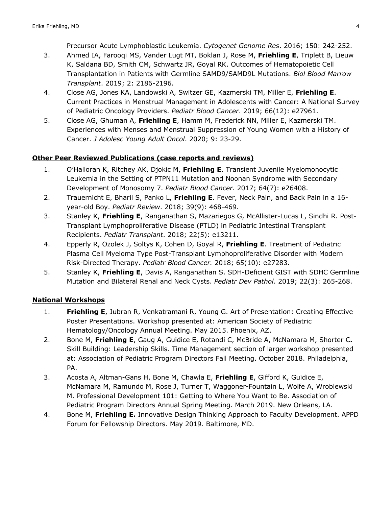Precursor Acute Lymphoblastic Leukemia. *Cytogenet Genome Res*. 2016; 150: 242-252.

- 3. Ahmed IA, Farooqi MS, Vander Lugt MT, Boklan J, Rose M, **Friehling E**, Triplett B, Lieuw K, Saldana BD, Smith CM, Schwartz JR, Goyal RK. Outcomes of Hematopoietic Cell Transplantation in Patients with Germline SAMD9/SAMD9L Mutations. *Biol Blood Marrow Transplant*. 2019; 2: 2186-2196.
- 4. Close AG, Jones KA, Landowski A, Switzer GE, Kazmerski TM, Miller E, **Friehling E**. Current Practices in Menstrual Management in Adolescents with Cancer: A National Survey of Pediatric Oncology Providers. *Pediatr Blood Cancer*. 2019; 66(12): e27961.
- 5. Close AG, Ghuman A, **Friehling E**, Hamm M, Frederick NN, Miller E, Kazmerski TM. Experiences with Menses and Menstrual Suppression of Young Women with a History of Cancer. *J Adolesc Young Adult Oncol*. 2020; 9: 23-29.

### **Other Peer Reviewed Publications (case reports and reviews)**

- 1. O'Halloran K, Ritchey AK, Djokic M, **Friehling E**. Transient Juvenile Myelomonocytic Leukemia in the Setting of PTPN11 Mutation and Noonan Syndrome with Secondary Development of Monosomy 7. *Pediatr Blood Cancer*. 2017; 64(7): e26408.
- 2. Trauernicht E, Bharil S, Panko L, **Friehling E**. Fever, Neck Pain, and Back Pain in a 16 year-old Boy. *Pediatr Review*. 2018; 39(9): 468-469.
- 3. Stanley K, **Friehling E**, Ranganathan S, Mazariegos G, McAllister-Lucas L, Sindhi R. Post-Transplant Lymphoproliferative Disease (PTLD) in Pediatric Intestinal Transplant Recipients. *Pediatr Transplant*. 2018; 22(5): e13211.
- 4. Epperly R, Ozolek J, Soltys K, Cohen D, Goyal R, **Friehling E**. Treatment of Pediatric Plasma Cell Myeloma Type Post-Transplant Lymphoproliferative Disorder with Modern Risk-Directed Therapy. *Pediatr Blood Cancer.* 2018; 65(10): e27283.
- 5. Stanley K, **Friehling E**, Davis A, Ranganathan S. SDH-Deficient GIST with SDHC Germline Mutation and Bilateral Renal and Neck Cysts. *Pediatr Dev Pathol*. 2019; 22(3): 265-268.

### **National Workshops**

- 1. **Friehling E**, Jubran R, Venkatramani R, Young G. Art of Presentation: Creating Effective Poster Presentations. Workshop presented at: American Society of Pediatric Hematology/Oncology Annual Meeting. May 2015. Phoenix, AZ.
- 2. Bone M, **Friehling E**, Gaug A, Guidice E, Rotandi C, McBride A, McNamara M, Shorter C**.** Skill Building: Leadership Skills. Time Management section of larger workshop presented at: Association of Pediatric Program Directors Fall Meeting. October 2018. Philadelphia, PA.
- 3. Acosta A, Altman-Gans H, Bone M, Chawla E, **Friehling E**, Gifford K, Guidice E, McNamara M, Ramundo M, Rose J, Turner T, Waggoner-Fountain L, Wolfe A, Wroblewski M. Professional Development 101: Getting to Where You Want to Be. Association of Pediatric Program Directors Annual Spring Meeting. March 2019. New Orleans, LA.
- 4. Bone M, **Friehling E.** Innovative Design Thinking Approach to Faculty Development. APPD Forum for Fellowship Directors. May 2019. Baltimore, MD.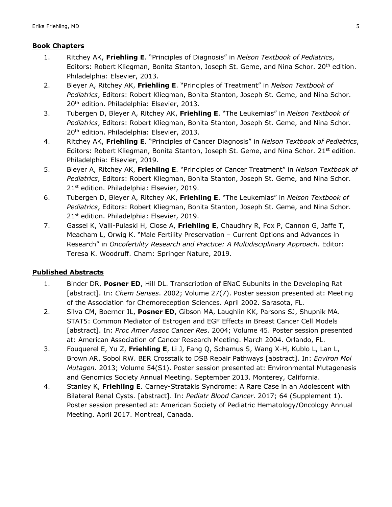#### **Book Chapters**

- 1. Ritchey AK, **Friehling E**. "Principles of Diagnosis" in *Nelson Textbook of Pediatrics*, Editors: Robert Kliegman, Bonita Stanton, Joseph St. Geme, and Nina Schor. 20<sup>th</sup> edition. Philadelphia: Elsevier, 2013.
- 2. Bleyer A, Ritchey AK, **Friehling E**. "Principles of Treatment" in *Nelson Textbook of Pediatrics*, Editors: Robert Kliegman, Bonita Stanton, Joseph St. Geme, and Nina Schor. 20<sup>th</sup> edition. Philadelphia: Elsevier, 2013.
- 3. Tubergen D, Bleyer A, Ritchey AK, **Friehling E**. "The Leukemias" in *Nelson Textbook of Pediatrics*, Editors: Robert Kliegman, Bonita Stanton, Joseph St. Geme, and Nina Schor. 20<sup>th</sup> edition. Philadelphia: Elsevier, 2013.
- 4. Ritchey AK, **Friehling E**. "Principles of Cancer Diagnosis" in *Nelson Textbook of Pediatrics*, Editors: Robert Kliegman, Bonita Stanton, Joseph St. Geme, and Nina Schor. 21<sup>st</sup> edition. Philadelphia: Elsevier, 2019.
- 5. Bleyer A, Ritchey AK, **Friehling E**. "Principles of Cancer Treatment" in *Nelson Textbook of Pediatrics*, Editors: Robert Kliegman, Bonita Stanton, Joseph St. Geme, and Nina Schor. 21<sup>st</sup> edition. Philadelphia: Elsevier, 2019.
- 6. Tubergen D, Bleyer A, Ritchey AK, **Friehling E**. "The Leukemias" in *Nelson Textbook of Pediatrics*, Editors: Robert Kliegman, Bonita Stanton, Joseph St. Geme, and Nina Schor. 21<sup>st</sup> edition. Philadelphia: Elsevier, 2019.
- 7. Gassei K, Valli-Pulaski H, Close A, **Friehling E**, Chaudhry R, Fox P, Cannon G, Jaffe T, Meacham L, Orwig K. "Male Fertility Preservation – Current Options and Advances in Research" in *Oncofertility Research and Practice: A Multidisciplinary Approach.* Editor: Teresa K. Woodruff. Cham: Springer Nature, 2019.

#### **Published Abstracts**

- 1. Binder DR, **Posner ED**, Hill DL. Transcription of ENaC Subunits in the Developing Rat [abstract]. In: *Chem Senses*. 2002; Volume 27(7). Poster session presented at: Meeting of the Association for Chemoreception Sciences. April 2002. Sarasota, FL.
- 2. Silva CM, Boerner JL, **Posner ED**, Gibson MA, Laughlin KK, Parsons SJ, Shupnik MA. STAT5: Common Mediator of Estrogen and EGF Effects in Breast Cancer Cell Models [abstract]. In: *Proc Amer Assoc Cancer Res*. 2004; Volume 45. Poster session presented at: American Association of Cancer Research Meeting. March 2004. Orlando, FL.
- 3. Fouquerel E, Yu Z, **Friehling E**, Li J, Fang Q, Schamus S, Wang X-H, Kublo L, Lan L, Brown AR, Sobol RW. BER Crosstalk to DSB Repair Pathways [abstract]. In: *Environ Mol Mutagen*. 2013; Volume 54(S1). Poster session presented at: Environmental Mutagenesis and Genomics Society Annual Meeting. September 2013. Monterey, California.
- 4. Stanley K, **Friehling E**. Carney-Stratakis Syndrome: A Rare Case in an Adolescent with Bilateral Renal Cysts. [abstract]. In: *Pediatr Blood Cancer*. 2017; 64 (Supplement 1). Poster session presented at: American Society of Pediatric Hematology/Oncology Annual Meeting. April 2017. Montreal, Canada.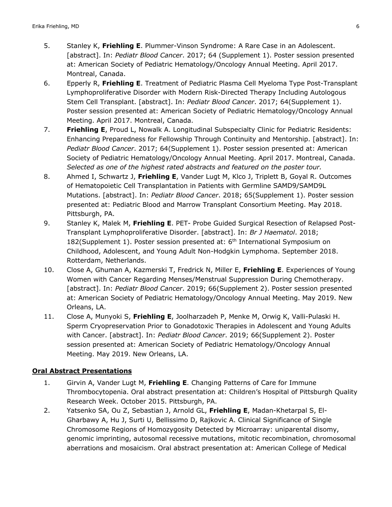- 5. Stanley K, **Friehling E**. Plummer-Vinson Syndrome: A Rare Case in an Adolescent. [abstract]. In: *Pediatr Blood Cancer*. 2017; 64 (Supplement 1). Poster session presented at: American Society of Pediatric Hematology/Oncology Annual Meeting. April 2017. Montreal, Canada.
- 6. Epperly R, **Friehling E**. Treatment of Pediatric Plasma Cell Myeloma Type Post-Transplant Lymphoproliferative Disorder with Modern Risk-Directed Therapy Including Autologous Stem Cell Transplant. [abstract]. In: *Pediatr Blood Cancer*. 2017; 64(Supplement 1). Poster session presented at: American Society of Pediatric Hematology/Oncology Annual Meeting. April 2017. Montreal, Canada.
- 7. **Friehling E**, Proud L, Nowalk A. Longitudinal Subspecialty Clinic for Pediatric Residents: Enhancing Preparedness for Fellowship Through Continuity and Mentorship. [abstract]. In: *Pediatr Blood Cancer*. 2017; 64(Supplement 1). Poster session presented at: American Society of Pediatric Hematology/Oncology Annual Meeting. April 2017. Montreal, Canada. *Selected as one of the highest rated abstracts and featured on the poster tour.*
- 8. Ahmed I, Schwartz J, **Friehling E**, Vander Lugt M, Klco J, Triplett B, Goyal R. Outcomes of Hematopoietic Cell Transplantation in Patients with Germline SAMD9/SAMD9L Mutations. [abstract]. In: *Pediatr Blood Cancer*. 2018; 65(Supplement 1). Poster session presented at: Pediatric Blood and Marrow Transplant Consortium Meeting. May 2018. Pittsburgh, PA.
- 9. Stanley K, Malek M, **Friehling E**. PET- Probe Guided Surgical Resection of Relapsed Post-Transplant Lymphoproliferative Disorder. [abstract]. In: *Br J Haematol*. 2018; 182(Supplement 1). Poster session presented at:  $6<sup>th</sup>$  International Symposium on Childhood, Adolescent, and Young Adult Non-Hodgkin Lymphoma. September 2018. Rotterdam, Netherlands.
- 10. Close A, Ghuman A, Kazmerski T, Fredrick N, Miller E, **Friehling E**. Experiences of Young Women with Cancer Regarding Menses/Menstrual Suppression During Chemotherapy. [abstract]. In: *Pediatr Blood Cancer*. 2019; 66(Supplement 2). Poster session presented at: American Society of Pediatric Hematology/Oncology Annual Meeting. May 2019. New Orleans, LA.
- 11. Close A, Munyoki S, **Friehling E**, Joolharzadeh P, Menke M, Orwig K, Valli-Pulaski H. Sperm Cryopreservation Prior to Gonadotoxic Therapies in Adolescent and Young Adults with Cancer. [abstract]. In: *Pediatr Blood Cancer*. 2019; 66(Supplement 2). Poster session presented at: American Society of Pediatric Hematology/Oncology Annual Meeting. May 2019. New Orleans, LA.

### **Oral Abstract Presentations**

- 1. Girvin A, Vander Lugt M, **Friehling E**. Changing Patterns of Care for Immune Thrombocytopenia. Oral abstract presentation at: Children's Hospital of Pittsburgh Quality Research Week. October 2015. Pittsburgh, PA.
- 2. Yatsenko SA, Ou Z, Sebastian J, Arnold GL, **Friehling E**, Madan-Khetarpal S, El-Gharbawy A, Hu J, Surti U, Bellissimo D, Rajkovic A. Clinical Significance of Single Chromosome Regions of Homozygosity Detected by Microarray: uniparental disomy, genomic imprinting, autosomal recessive mutations, mitotic recombination, chromosomal aberrations and mosaicism. Oral abstract presentation at: American College of Medical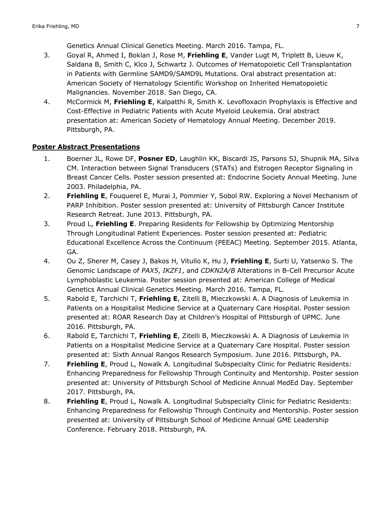Genetics Annual Clinical Genetics Meeting. March 2016. Tampa, FL.

- 3. Goyal R, Ahmed I, Boklan J, Rose M, **Friehling E**, Vander Lugt M, Triplett B, Lieuw K, Saldana B, Smith C, Klco J, Schwartz J. Outcomes of Hematopoietic Cell Transplantation in Patients with Germline SAMD9/SAMD9L Mutations. Oral abstract presentation at: American Society of Hematology Scientific Workshop on Inherited Hematopoietic Malignancies. November 2018. San Diego, CA.
- 4. McCormick M, **Friehling E**, Kalpatthi R, Smith K. Levofloxacin Prophylaxis is Effective and Cost-Effective in Pediatric Patients with Acute Myeloid Leukemia. Oral abstract presentation at: American Society of Hematology Annual Meeting. December 2019. Pittsburgh, PA.

### **Poster Abstract Presentations**

- 1. Boerner JL, Rowe DF, **Posner ED**, Laughlin KK, Biscardi JS, Parsons SJ, Shupnik MA, Silva CM. Interaction between Signal Transducers (STATs) and Estrogen Receptor Signaling in Breast Cancer Cells. Poster session presented at: Endocrine Society Annual Meeting. June 2003. Philadelphia, PA.
- 2. **Friehling E**, Fouquerel E, Murai J, Pommier Y, Sobol RW. Exploring a Novel Mechanism of PARP Inhibition. Poster session presented at: University of Pittsburgh Cancer Institute Research Retreat. June 2013. Pittsburgh, PA.
- 3. Proud L, **Friehling E**. Preparing Residents for Fellowship by Optimizing Mentorship Through Longitudinal Patient Experiences. Poster session presented at: Pediatric Educational Excellence Across the Continuum (PEEAC) Meeting. September 2015. Atlanta, GA.
- 4. Ou Z, Sherer M, Casey J, Bakos H, Vitullo K, Hu J, **Friehling E**, Surti U, Yatsenko S. The Genomic Landscape of *PAX5*, *IKZF1*, and *CDKN2A/B* Alterations in B-Cell Precursor Acute Lymphoblastic Leukemia. Poster session presented at: American College of Medical Genetics Annual Clinical Genetics Meeting. March 2016. Tampa, FL.
- 5. Rabold E, Tarchichi T, **Friehling E**, Zitelli B, Mieczkowski A. A Diagnosis of Leukemia in Patients on a Hospitalist Medicine Service at a Quaternary Care Hospital. Poster session presented at: ROAR Research Day at Children's Hospital of Pittsburgh of UPMC. June 2016. Pittsburgh, PA.
- 6. Rabold E, Tarchichi T, **Friehling E**, Zitelli B, Mieczkowski A. A Diagnosis of Leukemia in Patients on a Hospitalist Medicine Service at a Quaternary Care Hospital. Poster session presented at: Sixth Annual Rangos Research Symposium. June 2016. Pittsburgh, PA.
- 7. **Friehling E**, Proud L, Nowalk A. Longitudinal Subspecialty Clinic for Pediatric Residents: Enhancing Preparedness for Fellowship Through Continuity and Mentorship. Poster session presented at: University of Pittsburgh School of Medicine Annual MedEd Day. September 2017. Pittsburgh, PA.
- 8. **Friehling E**, Proud L, Nowalk A. Longitudinal Subspecialty Clinic for Pediatric Residents: Enhancing Preparedness for Fellowship Through Continuity and Mentorship. Poster session presented at: University of Pittsburgh School of Medicine Annual GME Leadership Conference. February 2018. Pittsburgh, PA.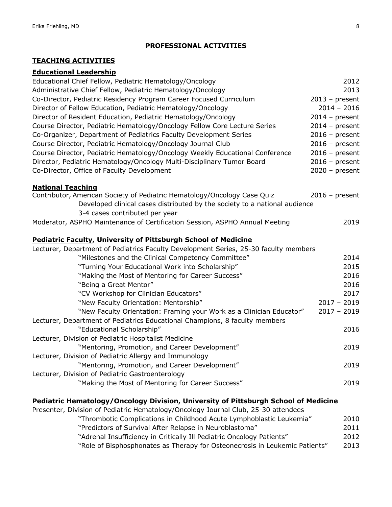#### **PROFESSIONAL ACTIVITIES**

## **TEACHING ACTIVITIES**

#### **Educational Leadership**

| Educational Chief Fellow, Pediatric Hematology/Oncology                              | 2012             |
|--------------------------------------------------------------------------------------|------------------|
| Administrative Chief Fellow, Pediatric Hematology/Oncology                           | 2013             |
| Co-Director, Pediatric Residency Program Career Focused Curriculum                   | $2013$ – present |
| Director of Fellow Education, Pediatric Hematology/Oncology                          | $2014 - 2016$    |
| Director of Resident Education, Pediatric Hematology/Oncology                        | $2014$ – present |
| Course Director, Pediatric Hematology/Oncology Fellow Core Lecture Series            | $2014$ – present |
| Co-Organizer, Department of Pediatrics Faculty Development Series                    | $2016$ – present |
| Course Director, Pediatric Hematology/Oncology Journal Club                          | $2016$ – present |
| Course Director, Pediatric Hematology/Oncology Weekly Educational Conference         | $2016$ – present |
| Director, Pediatric Hematology/Oncology Multi-Disciplinary Tumor Board               | $2016$ – present |
| Co-Director, Office of Faculty Development                                           | $2020 - present$ |
| <b>National Teaching</b>                                                             |                  |
| Contributor, American Society of Pediatric Hematology/Oncology Case Quiz             | $2016$ – present |
| Developed clinical cases distributed by the society to a national audience           |                  |
| 3-4 cases contributed per year                                                       |                  |
| Moderator, ASPHO Maintenance of Certification Session, ASPHO Annual Meeting          | 2019             |
| <b>Pediatric Faculty, University of Pittsburgh School of Medicine</b>                |                  |
| Lecturer, Department of Pediatrics Faculty Development Series, 25-30 faculty members |                  |
| "Milestones and the Clinical Competency Committee"                                   | 2014             |
| "Turning Your Educational Work into Scholarship"                                     | 2015             |
| "Making the Most of Mentoring for Career Success"                                    | 2016             |
| "Being a Great Mentor"                                                               | 2016             |
| "CV Workshop for Clinician Educators"                                                | 2017             |
| "New Faculty Orientation: Mentorship"                                                | $2017 - 2019$    |
| "New Faculty Orientation: Framing your Work as a Clinician Educator"                 | $2017 - 2019$    |
| Lecturer, Department of Pediatrics Educational Champions, 8 faculty members          |                  |
| "Educational Scholarship"                                                            | 2016             |
| Lecturer, Division of Pediatric Hospitalist Medicine                                 |                  |
| "Mentoring, Promotion, and Career Development"                                       | 2019             |
| Lecturer, Division of Pediatric Allergy and Immunology                               |                  |
| "Mentoring, Promotion, and Career Development"                                       | 2019             |
| Lecturer, Division of Pediatric Gastroenterology                                     |                  |
| "Making the Most of Mentoring for Career Success"                                    | 2019             |
| Pediatric Hematology/Oncology Division, University of Pittsburgh School of Medicine  |                  |
| Presenter, Division of Pediatric Hematology/Oncology Journal Club, 25-30 attendees   |                  |
| "Thrombotic Complications in Childhood Asuto Lymphoblastic Loukomia"                 | ∩ו∩ר             |

| infombotic complications in Childhood Acute Lymphobiastic Leukemia.   | ZU10 |
|-----------------------------------------------------------------------|------|
| "Predictors of Survival After Relapse in Neuroblastoma"               | 2011 |
| "Adrenal Insufficiency in Critically Ill Pediatric Oncology Patients" | 2012 |

"Role of Bisphosphonates as Therapy for Osteonecrosis in Leukemic Patients" 2013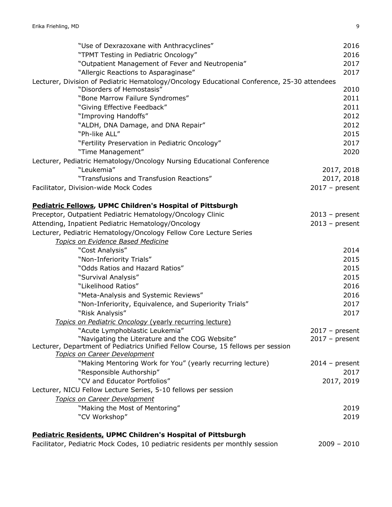| "Use of Dexrazoxane with Anthracyclines"                                                                                | 2016             |
|-------------------------------------------------------------------------------------------------------------------------|------------------|
| "TPMT Testing in Pediatric Oncology"                                                                                    | 2016             |
| "Outpatient Management of Fever and Neutropenia"                                                                        | 2017             |
| "Allergic Reactions to Asparaginase"                                                                                    | 2017             |
| Lecturer, Division of Pediatric Hematology/Oncology Educational Conference, 25-30 attendees                             |                  |
| "Disorders of Hemostasis"                                                                                               | 2010             |
| "Bone Marrow Failure Syndromes"                                                                                         | 2011             |
| "Giving Effective Feedback"                                                                                             | 2011             |
| "Improving Handoffs"                                                                                                    | 2012             |
| "ALDH, DNA Damage, and DNA Repair"                                                                                      | 2012             |
| "Ph-like ALL"                                                                                                           | 2015             |
| "Fertility Preservation in Pediatric Oncology"                                                                          | 2017             |
| "Time Management"                                                                                                       | 2020             |
| Lecturer, Pediatric Hematology/Oncology Nursing Educational Conference                                                  |                  |
| "Leukemia"                                                                                                              | 2017, 2018       |
| "Transfusions and Transfusion Reactions"                                                                                | 2017, 2018       |
| Facilitator, Division-wide Mock Codes                                                                                   | $2017$ – present |
| <b>Pediatric Fellows, UPMC Children's Hospital of Pittsburgh</b>                                                        |                  |
| Preceptor, Outpatient Pediatric Hematology/Oncology Clinic                                                              | $2013$ – present |
| Attending, Inpatient Pediatric Hematology/Oncology                                                                      | $2013$ – present |
| Lecturer, Pediatric Hematology/Oncology Fellow Core Lecture Series                                                      |                  |
| Topics on Evidence Based Medicine                                                                                       |                  |
| "Cost Analysis"                                                                                                         | 2014             |
| "Non-Inferiority Trials"                                                                                                | 2015             |
| "Odds Ratios and Hazard Ratios"                                                                                         | 2015             |
| "Survival Analysis"                                                                                                     | 2015             |
| "Likelihood Ratios"                                                                                                     | 2016             |
| "Meta-Analysis and Systemic Reviews"                                                                                    | 2016             |
| "Non-Inferiority, Equivalence, and Superiority Trials"                                                                  | 2017             |
| "Risk Analysis"                                                                                                         | 2017             |
| Topics on Pediatric Oncology (yearly recurring lecture)                                                                 |                  |
| "Acute Lymphoblastic Leukemia"                                                                                          | $2017 - present$ |
| "Navigating the Literature and the COG Website"                                                                         | $2017$ – present |
| Lecturer, Department of Pediatrics Unified Fellow Course, 15 fellows per session<br><b>Topics on Career Development</b> |                  |
| "Making Mentoring Work for You" (yearly recurring lecture)                                                              | $2014$ – present |
| "Responsible Authorship"                                                                                                | 2017             |
| "CV and Educator Portfolios"                                                                                            | 2017, 2019       |
| Lecturer, NICU Fellow Lecture Series, 5-10 fellows per session                                                          |                  |
| Topics on Career Development                                                                                            |                  |
| "Making the Most of Mentoring"                                                                                          | 2019             |
| "CV Workshop"                                                                                                           | 2019             |
| <b>Pediatric Residents, UPMC Children's Hospital of Pittsburgh</b>                                                      |                  |
| Facilitator, Pediatric Mock Codes, 10 pediatric residents per monthly session                                           | $2009 - 2010$    |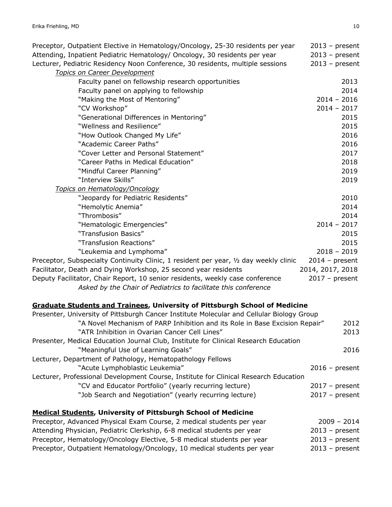| Preceptor, Outpatient Elective in Hematology/Oncology, 25-30 residents per year<br>Attending, Inpatient Pediatric Hematology/ Oncology, 30 residents per year | $2013$ – present<br>$2013$ – present |
|---------------------------------------------------------------------------------------------------------------------------------------------------------------|--------------------------------------|
|                                                                                                                                                               |                                      |
| Lecturer, Pediatric Residency Noon Conference, 30 residents, multiple sessions                                                                                | $2013$ – present                     |
| Topics on Career Development                                                                                                                                  |                                      |
| Faculty panel on fellowship research opportunities                                                                                                            | 2013                                 |
| Faculty panel on applying to fellowship                                                                                                                       | 2014                                 |
| "Making the Most of Mentoring"                                                                                                                                | $2014 - 2016$                        |
| "CV Workshop"                                                                                                                                                 | $2014 - 2017$                        |
| "Generational Differences in Mentoring"                                                                                                                       | 2015                                 |
| "Wellness and Resilience"                                                                                                                                     | 2015                                 |
| "How Outlook Changed My Life"                                                                                                                                 | 2016                                 |
| "Academic Career Paths"                                                                                                                                       | 2016                                 |
| "Cover Letter and Personal Statement"                                                                                                                         | 2017                                 |
| "Career Paths in Medical Education"                                                                                                                           | 2018                                 |
| "Mindful Career Planning"                                                                                                                                     | 2019                                 |
| "Interview Skills"                                                                                                                                            | 2019                                 |
| Topics on Hematology/Oncology                                                                                                                                 |                                      |
| "Jeopardy for Pediatric Residents"                                                                                                                            | 2010                                 |
| "Hemolytic Anemia"                                                                                                                                            | 2014                                 |
| "Thrombosis"                                                                                                                                                  | 2014                                 |
| "Hematologic Emergencies"                                                                                                                                     | $2014 - 2017$                        |
| "Transfusion Basics"                                                                                                                                          | 2015                                 |
| "Transfusion Reactions"                                                                                                                                       | 2015                                 |
| "Leukemia and Lymphoma"                                                                                                                                       | $2018 - 2019$                        |
| Preceptor, Subspecialty Continuity Clinic, 1 resident per year, 1/2 day weekly clinic                                                                         | $2014$ – present                     |
| Facilitator, Death and Dying Workshop, 25 second year residents                                                                                               | 2014, 2017, 2018                     |
| Deputy Facilitator, Chair Report, 10 senior residents, weekly case conference                                                                                 | $2017 - present$                     |
| Asked by the Chair of Pediatrics to facilitate this conference                                                                                                |                                      |
| <b>Graduate Students and Trainees, University of Pittsburgh School of Medicine</b>                                                                            |                                      |
| Presenter, University of Pittsburgh Cancer Institute Molecular and Cellular Biology Group                                                                     |                                      |
| "A Novel Mechanism of PARP Inhibition and its Role in Base Excision Repair"                                                                                   | 2012                                 |
| "ATR Inhihition in Ovarian Cancer Cell Lines"                                                                                                                 | 2013                                 |

| "ATR Inhibition in Ovarian Cancer Cell Lines"                                        | 2013             |
|--------------------------------------------------------------------------------------|------------------|
| Presenter, Medical Education Journal Club, Institute for Clinical Research Education |                  |
| "Meaningful Use of Learning Goals"                                                   | 2016             |
| Lecturer, Department of Pathology, Hematopathology Fellows                           |                  |
| "Acute Lymphoblastic Leukemia"                                                       | $2016$ – present |
| Lecturer, Professional Development Course, Institute for Clinical Research Education |                  |
| "CV and Educator Portfolio" (yearly recurring lecture)                               | $2017 - present$ |
| "Job Search and Negotiation" (yearly recurring lecture)                              | $2017 - present$ |
|                                                                                      |                  |
| <b>Medical Students, University of Pittsburgh School of Medicine</b>                 |                  |

# Preceptor, Advanced Physical Exam Course, 2 medical students per year 2009 - 2014 Attending Physician, Pediatric Clerkship, 6-8 medical students per year 2013 – present Preceptor, Hematology/Oncology Elective, 5-8 medical students per year 2013 – present Preceptor, Outpatient Hematology/Oncology, 10 medical students per year 2013 – present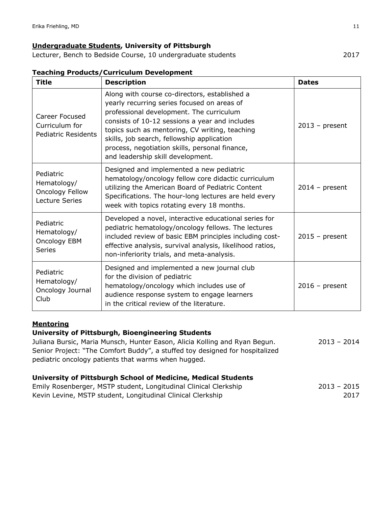### **Undergraduate Students, University of Pittsburgh**

Lecturer, Bench to Bedside Course, 10 undergraduate students 2017

| <b>Title</b>                                                                | <b>Description</b>                                                                                                                                                                                                                                                                                                                                                                | <b>Dates</b>     |
|-----------------------------------------------------------------------------|-----------------------------------------------------------------------------------------------------------------------------------------------------------------------------------------------------------------------------------------------------------------------------------------------------------------------------------------------------------------------------------|------------------|
| Career Focused<br>Curriculum for<br><b>Pediatric Residents</b>              | Along with course co-directors, established a<br>yearly recurring series focused on areas of<br>professional development. The curriculum<br>consists of 10-12 sessions a year and includes<br>topics such as mentoring, CV writing, teaching<br>skills, job search, fellowship application<br>process, negotiation skills, personal finance,<br>and leadership skill development. | $2013$ – present |
| Pediatric<br>Hematology/<br><b>Oncology Fellow</b><br><b>Lecture Series</b> | Designed and implemented a new pediatric<br>hematology/oncology fellow core didactic curriculum<br>utilizing the American Board of Pediatric Content<br>Specifications. The hour-long lectures are held every<br>week with topics rotating every 18 months.                                                                                                                       | $2014$ – present |
| Pediatric<br>Hematology/<br>Oncology EBM<br><b>Series</b>                   | Developed a novel, interactive educational series for<br>pediatric hematology/oncology fellows. The lectures<br>included review of basic EBM principles including cost-<br>effective analysis, survival analysis, likelihood ratios,<br>non-inferiority trials, and meta-analysis.                                                                                                | $2015$ – present |
| Pediatric<br>Hematology/<br>Oncology Journal<br>Club                        | Designed and implemented a new journal club<br>for the division of pediatric<br>hematology/oncology which includes use of<br>audience response system to engage learners<br>in the critical review of the literature.                                                                                                                                                             | $2016$ – present |

### **Teaching Products/Curriculum Development**

### **Mentoring**

### **University of Pittsburgh, Bioengineering Students**

Juliana Bursic, Maria Munsch, Hunter Eason, Alicia Kolling and Ryan Begun. 2013 – 2014 Senior Project: "The Comfort Buddy", a stuffed toy designed for hospitalized pediatric oncology patients that warms when hugged.

#### **University of Pittsburgh School of Medicine, Medical Students**

| Emily Rosenberger, MSTP student, Longitudinal Clinical Clerkship | $2013 - 2015$ |      |
|------------------------------------------------------------------|---------------|------|
| Kevin Levine, MSTP student, Longitudinal Clinical Clerkship      |               | 2017 |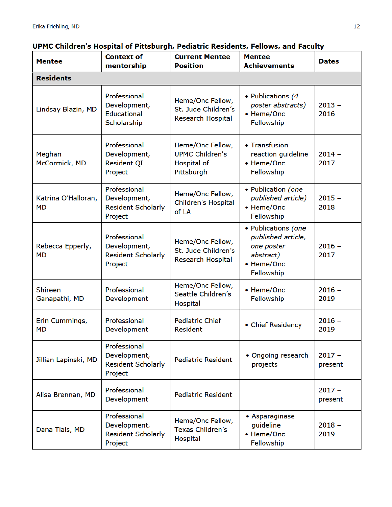# UPMC Children's Hospital of Pittsburgh, Pediatric Residents, Fellows, and Faculty

| <b>Mentee</b>                    | <b>Context of</b><br>mentorship                                      | <b>Current Mentee</b><br><b>Position</b>                                | <b>Mentee</b><br><b>Achievements</b>                                                             | <b>Dates</b>        |
|----------------------------------|----------------------------------------------------------------------|-------------------------------------------------------------------------|--------------------------------------------------------------------------------------------------|---------------------|
| <b>Residents</b>                 |                                                                      |                                                                         |                                                                                                  |                     |
| Lindsay Blazin, MD               | Professional<br>Development,<br><b>Educational</b><br>Scholarship    | Heme/Onc Fellow,<br>St. Jude Children's<br><b>Research Hospital</b>     | • Publications (4<br>poster abstracts)<br>• Heme/Onc<br>Fellowship                               | $2013 -$<br>2016    |
| Meghan<br>McCormick, MD          | Professional<br>Development,<br>Resident QI<br>Project               | Heme/Onc Fellow,<br><b>UPMC Children's</b><br>Hospital of<br>Pittsburgh | • Transfusion<br>reaction guideline<br>• Heme/Onc<br>Fellowship                                  | $2014 -$<br>2017    |
| Katrina O'Halloran,<br><b>MD</b> | Professional<br>Development,<br><b>Resident Scholarly</b><br>Project | Heme/Onc Fellow,<br>Children's Hospital<br>of LA                        | • Publication (one<br>published article)<br>• Heme/Onc<br>Fellowship                             | $2015 -$<br>2018    |
| Rebecca Epperly,<br><b>MD</b>    | Professional<br>Development,<br><b>Resident Scholarly</b><br>Project | Heme/Onc Fellow,<br>St. Jude Children's<br><b>Research Hospital</b>     | • Publications (one<br>published article,<br>one poster<br>abstract)<br>• Heme/Onc<br>Fellowship | $2016 -$<br>2017    |
| Shireen<br>Ganapathi, MD         | Professional<br>Development                                          | Heme/Onc Fellow,<br>Seattle Children's<br><b>Hospital</b>               | • Heme/Onc<br>Fellowship                                                                         | $2016 -$<br>2019    |
| Erin Cummings,<br>MD             | Professional<br>Development                                          | <b>Pediatric Chief</b><br><b>Resident</b>                               | • Chief Residency                                                                                | $2016 -$<br>2019    |
| Jillian Lapinski, MD             | Professional<br>Development,<br><b>Resident Scholarly</b><br>Project | <b>Pediatric Resident</b>                                               | • Ongoing research<br>projects                                                                   | $2017 -$<br>present |
| Alisa Brennan, MD                | Professional<br>Development                                          | <b>Pediatric Resident</b>                                               |                                                                                                  | $2017 -$<br>present |
| Dana Tlais, MD                   | Professional<br>Development,<br><b>Resident Scholarly</b><br>Project | Heme/Onc Fellow,<br><b>Texas Children's</b><br><b>Hospital</b>          | • Asparaginase<br>guideline<br>• Heme/Onc<br>Fellowship                                          | $2018 -$<br>2019    |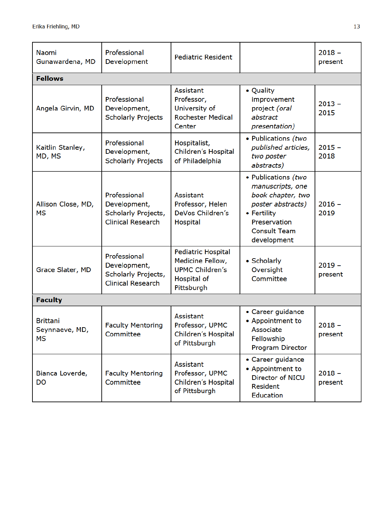| Naomi<br>Gunawardena, MD                       | Professional<br>Development                                                     | <b>Pediatric Resident</b>                                                                            |                                                                                                                                                        | $2018 -$<br>present |
|------------------------------------------------|---------------------------------------------------------------------------------|------------------------------------------------------------------------------------------------------|--------------------------------------------------------------------------------------------------------------------------------------------------------|---------------------|
| <b>Fellows</b>                                 |                                                                                 |                                                                                                      |                                                                                                                                                        |                     |
| Angela Girvin, MD                              | Professional<br>Development,<br><b>Scholarly Projects</b>                       | Assistant<br>Professor,<br>University of<br><b>Rochester Medical</b><br>Center                       | • Quality<br>improvement<br>project (oral<br>abstract<br>presentation)                                                                                 | $2013 -$<br>2015    |
| Kaitlin Stanley,<br>MD, MS                     | Professional<br>Development,<br><b>Scholarly Projects</b>                       | Hospitalist,<br>Children's Hospital<br>of Philadelphia                                               | • Publications (two<br>published articles,<br>two poster<br>abstracts)                                                                                 | $2015 -$<br>2018    |
| Allison Close, MD,<br><b>MS</b>                | Professional<br>Development,<br>Scholarly Projects,<br><b>Clinical Research</b> | Assistant<br>Professor, Helen<br>DeVos Children's<br>Hospital                                        | • Publications (two<br>manuscripts, one<br>book chapter, two<br>poster abstracts)<br>• Fertility<br>Preservation<br><b>Consult Team</b><br>development | $2016 -$<br>2019    |
| Grace Slater, MD                               | Professional<br>Development,<br>Scholarly Projects,<br><b>Clinical Research</b> | <b>Pediatric Hospital</b><br>Medicine Fellow,<br><b>UPMC Children's</b><br>Hospital of<br>Pittsburgh | • Scholarly<br>Oversight<br>Committee                                                                                                                  | $2019 -$<br>present |
| <b>Faculty</b>                                 |                                                                                 |                                                                                                      |                                                                                                                                                        |                     |
| <b>Brittani</b><br>Seynnaeve, MD,<br><b>MS</b> | <b>Faculty Mentoring</b><br>Committee                                           | Assistant<br>Professor, UPMC<br>Children's Hospital<br>of Pittsburgh                                 | • Career guidance<br>• Appointment to<br>Associate<br>Fellowship<br>Program Director                                                                   | $2018 -$<br>present |
| Bianca Loverde,<br>DO                          | <b>Faculty Mentoring</b><br>Committee                                           | Assistant<br>Professor, UPMC<br>Children's Hospital<br>of Pittsburgh                                 | • Career guidance<br>• Appointment to<br>Director of NICU<br><b>Resident</b><br><b>Education</b>                                                       | $2018 -$<br>present |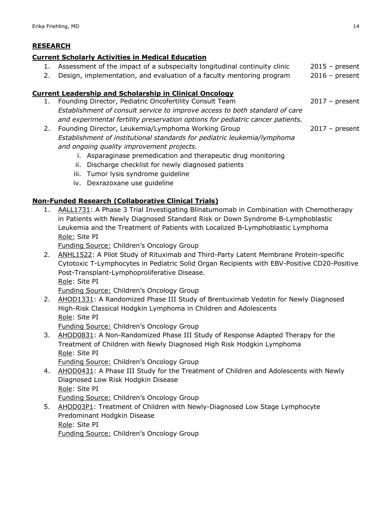# **RESEARCH**

### **Current Scholarly Activities in Medical Education**

- 1. Assessment of the impact of a subspecialty longitudinal continuity clinic 2015 present
- 2. Design, implementation, and evaluation of a faculty mentoring program 2016 present

## **Current Leadership and Scholarship in Clinical Oncology**

- 1. Founding Director, Pediatric Oncofertility Consult Team 2017 present *Establishment of consult service to improve access to both standard of care and experimental fertility preservation options for pediatric cancer patients.*
- 2. Founding Director, Leukemia/Lymphoma Working Group 2017 present *Establishment of institutional standards for pediatric leukemia/lymphoma and ongoing quality improvement projects.*
	- i. Asparaginase premedication and therapeutic drug monitoring
	- ii. Discharge checklist for newly diagnosed patients
	- iii. Tumor lysis syndrome guideline
	- iv. Dexrazoxane use guideline

## **Non-Funded Research (Collaborative Clinical Trials)**

1. AALL1731: A Phase 3 Trial Investigating Blinatumomab in Combination with Chemotherapy in Patients with Newly Diagnosed Standard Risk or Down Syndrome B-Lymphoblastic Leukemia and the Treatment of Patients with Localized B-Lymphoblastic Lymphoma Role: Site PI

Funding Source: Children's Oncology Group

2. ANHL1522: A Pilot Study of Rituximab and Third-Party Latent Membrane Protein-specific Cytotoxic T-Lymphocytes in Pediatric Solid Organ Recipients with EBV-Positive CD20-Positive Post-Transplant-Lymphoproliferative Disease. Role: Site PI

Funding Source: Children's Oncology Group

2. AHOD1331: A Randomized Phase III Study of Brentuximab Vedotin for Newly Diagnosed High-Risk Classical Hodgkin Lymphoma in Children and Adolescents Role: Site PI

Funding Source: Children's Oncology Group

3. AHOD0831: A Non-Randomized Phase III Study of Response Adapted Therapy for the Treatment of Children with Newly Diagnosed High Risk Hodgkin Lymphoma Role: Site PI

Funding Source: Children's Oncology Group

- 4. AHOD0431: A Phase III Study for the Treatment of Children and Adolescents with Newly Diagnosed Low Risk Hodgkin Disease Role: Site PI Funding Source: Children's Oncology Group
- 5. AHOD03P1: Treatment of Children with Newly-Diagnosed Low Stage Lymphocyte Predominant Hodgkin Disease Role: Site PI Funding Source: Children's Oncology Group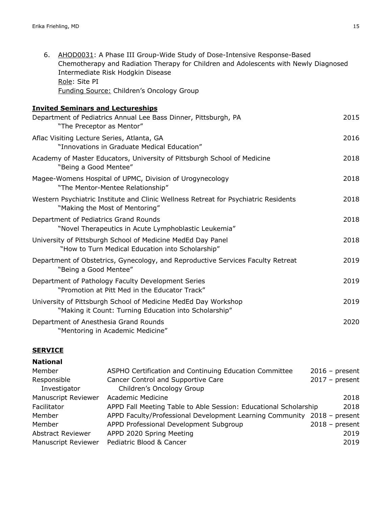| 6.<br>AHOD0031: A Phase III Group-Wide Study of Dose-Intensive Response-Based<br>Chemotherapy and Radiation Therapy for Children and Adolescents with Newly Diagnosed<br>Intermediate Risk Hodgkin Disease<br>Role: Site PI<br><b>Funding Source: Children's Oncology Group</b> |      |
|---------------------------------------------------------------------------------------------------------------------------------------------------------------------------------------------------------------------------------------------------------------------------------|------|
| <b>Invited Seminars and Lectureships</b>                                                                                                                                                                                                                                        |      |
| Department of Pediatrics Annual Lee Bass Dinner, Pittsburgh, PA<br>"The Preceptor as Mentor"                                                                                                                                                                                    | 2015 |
| Aflac Visiting Lecture Series, Atlanta, GA<br>"Innovations in Graduate Medical Education"                                                                                                                                                                                       | 2016 |
| Academy of Master Educators, University of Pittsburgh School of Medicine<br>"Being a Good Mentee"                                                                                                                                                                               | 2018 |
| Magee-Womens Hospital of UPMC, Division of Urogynecology<br>"The Mentor-Mentee Relationship"                                                                                                                                                                                    | 2018 |
| Western Psychiatric Institute and Clinic Wellness Retreat for Psychiatric Residents<br>"Making the Most of Mentoring"                                                                                                                                                           | 2018 |
| Department of Pediatrics Grand Rounds<br>"Novel Therapeutics in Acute Lymphoblastic Leukemia"                                                                                                                                                                                   | 2018 |
| University of Pittsburgh School of Medicine MedEd Day Panel<br>"How to Turn Medical Education into Scholarship"                                                                                                                                                                 | 2018 |
| Department of Obstetrics, Gynecology, and Reproductive Services Faculty Retreat<br>"Being a Good Mentee"                                                                                                                                                                        | 2019 |
| Department of Pathology Faculty Development Series<br>"Promotion at Pitt Med in the Educator Track"                                                                                                                                                                             | 2019 |
| University of Pittsburgh School of Medicine MedEd Day Workshop<br>"Making it Count: Turning Education into Scholarship"                                                                                                                                                         | 2019 |
| Department of Anesthesia Grand Rounds<br>"Mentoring in Academic Medicine"                                                                                                                                                                                                       | 2020 |

### **SERVICE**

| <b>National</b>            |                                                                         |                  |
|----------------------------|-------------------------------------------------------------------------|------------------|
| Member                     | ASPHO Certification and Continuing Education Committee                  | $2016$ – present |
| Responsible                | Cancer Control and Supportive Care                                      | $2017 - present$ |
| Investigator               | Children's Oncology Group                                               |                  |
| <b>Manuscript Reviewer</b> | Academic Medicine                                                       | 2018             |
| Facilitator                | APPD Fall Meeting Table to Able Session: Educational Scholarship        | 2018             |
| Member                     | APPD Faculty/Professional Development Learning Community 2018 - present |                  |
| Member                     | APPD Professional Development Subgroup                                  | $2018$ – present |
| <b>Abstract Reviewer</b>   | APPD 2020 Spring Meeting                                                | 2019             |
| <b>Manuscript Reviewer</b> | Pediatric Blood & Cancer                                                | 2019             |